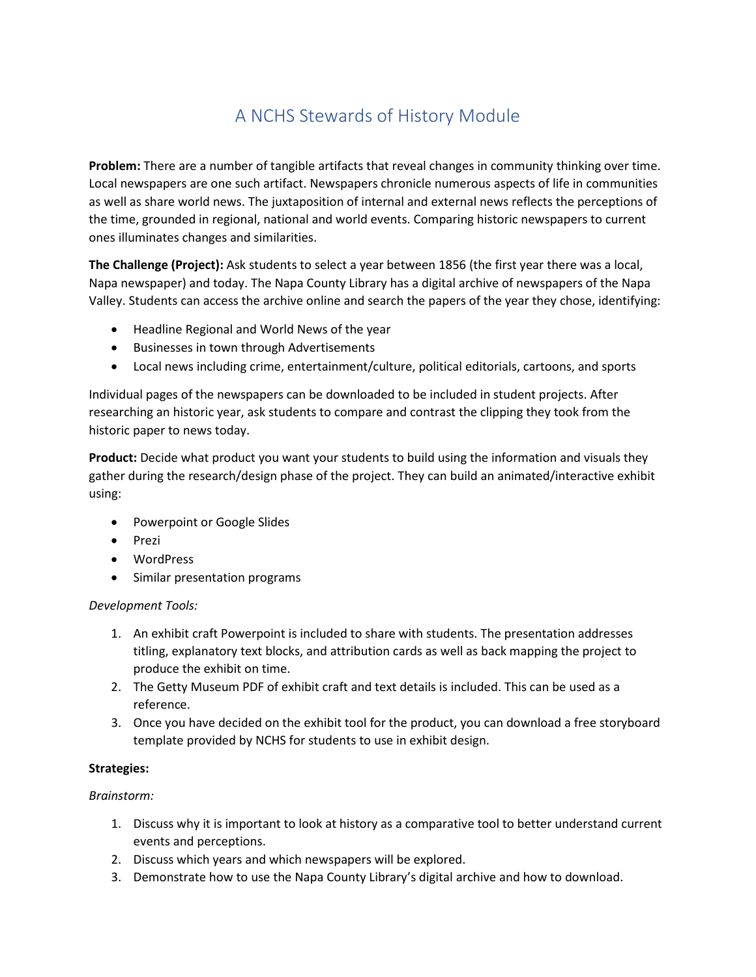# A NCHS Stewards of History Module

**Problem:** There are a number of tangible artifacts that reveal changes in community thinking over time. Local newspapers are one such artifact. Newspapers chronicle numerous aspects of life in communities as well as share world news. The juxtaposition of internal and external news reflects the perceptions of the time, grounded in regional, national and world events. Comparing historic newspapers to current ones illuminates changes and similarities.

**The Challenge (Project):** Ask students to select a year between 1856 (the first year there was a local, Napa newspaper) and today. The Napa County Library has a digital archive of newspapers of the Napa Valley. Students can access the archive online and search the papers of the year they chose, identifying:

- Headline Regional and World News of the year
- Businesses in town through Advertisements
- Local news including crime, entertainment/culture, political editorials, cartoons, and sports

Individual pages of the newspapers can be downloaded to be included in student projects. After researching an historic year, ask students to compare and contrast the clipping they took from the historic paper to news today.

**Product:** Decide what product you want your students to build using the information and visuals they gather during the research/design phase of the project. They can build an animated/interactive exhibit using:

- Powerpoint or Google Slides
- Prezi
- WordPress
- Similar presentation programs

### *Development Tools:*

- 1. An exhibit craft Powerpoint is included to share with students. The presentation addresses titling, explanatory text blocks, and attribution cards as well as back mapping the project to produce the exhibit on time.
- 2. The Getty Museum PDF of exhibit craft and text details is included. This can be used as a reference.
- 3. Once you have decided on the exhibit tool for the product, you can download a free storyboard template provided by NCHS for students to use in exhibit design.

## **Strategies:**

### *Brainstorm:*

- 1. Discuss why it is important to look at history as a comparative tool to better understand current events and perceptions.
- 2. Discuss which years and which newspapers will be explored.
- 3. Demonstrate how to use the Napa County Library's digital archive and how to download.